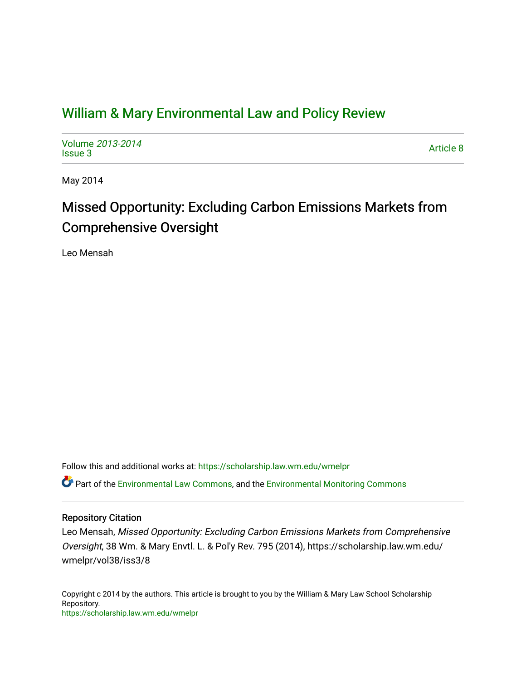# [William & Mary Environmental Law and Policy Review](https://scholarship.law.wm.edu/wmelpr)

[Volume](https://scholarship.law.wm.edu/wmelpr/vol38) 2013-2014 volume 2013-2014<br>[Issue 3](https://scholarship.law.wm.edu/wmelpr/vol38/iss3) Article 8

May 2014

# Missed Opportunity: Excluding Carbon Emissions Markets from Comprehensive Oversight

Leo Mensah

Follow this and additional works at: [https://scholarship.law.wm.edu/wmelpr](https://scholarship.law.wm.edu/wmelpr?utm_source=scholarship.law.wm.edu%2Fwmelpr%2Fvol38%2Fiss3%2F8&utm_medium=PDF&utm_campaign=PDFCoverPages)

**C** Part of the [Environmental Law Commons](http://network.bepress.com/hgg/discipline/599?utm_source=scholarship.law.wm.edu%2Fwmelpr%2Fvol38%2Fiss3%2F8&utm_medium=PDF&utm_campaign=PDFCoverPages), and the [Environmental Monitoring Commons](http://network.bepress.com/hgg/discipline/931?utm_source=scholarship.law.wm.edu%2Fwmelpr%2Fvol38%2Fiss3%2F8&utm_medium=PDF&utm_campaign=PDFCoverPages)

# Repository Citation

Leo Mensah, Missed Opportunity: Excluding Carbon Emissions Markets from Comprehensive Oversight, 38 Wm. & Mary Envtl. L. & Pol'y Rev. 795 (2014), https://scholarship.law.wm.edu/ wmelpr/vol38/iss3/8

Copyright c 2014 by the authors. This article is brought to you by the William & Mary Law School Scholarship Repository. <https://scholarship.law.wm.edu/wmelpr>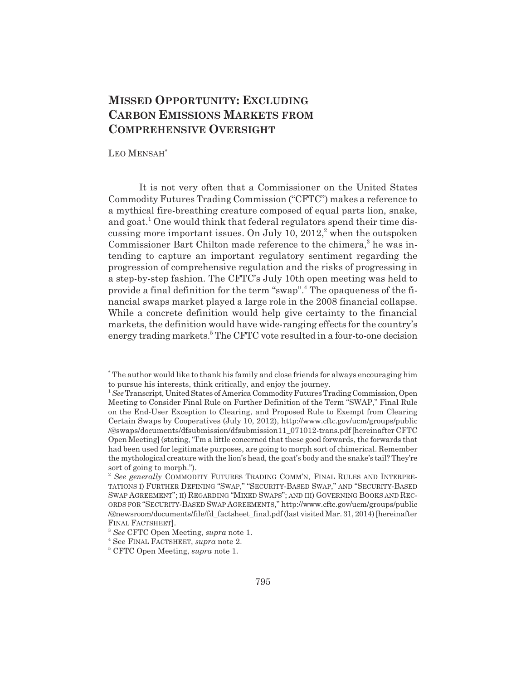# **MISSED OPPORTUNITY: EXCLUDING CARBON EMISSIONS MARKETS FROM COMPREHENSIVE OVERSIGHT**

LEO MENSAH\*

It is not very often that a Commissioner on the United States Commodity Futures Trading Commission ("CFTC") makes a reference to a mythical fire-breathing creature composed of equal parts lion, snake, and goat.<sup>1</sup> One would think that federal regulators spend their time discussing more important issues. On July 10,  $2012$ , when the outspoken Commissioner Bart Chilton made reference to the chimera,<sup>3</sup> he was intending to capture an important regulatory sentiment regarding the progression of comprehensive regulation and the risks of progressing in a step-by-step fashion. The CFTC's July 10th open meeting was held to provide a final definition for the term "swap".<sup>4</sup> The opaqueness of the financial swaps market played a large role in the 2008 financial collapse. While a concrete definition would help give certainty to the financial markets, the definition would have wide-ranging effects for the country's energy trading markets.<sup>5</sup> The CFTC vote resulted in a four-to-one decision

<sup>\*</sup> The author would like to thank his family and close friends for always encouraging him to pursue his interests, think critically, and enjoy the journey.

<sup>1</sup>*See* Transcript, United States of America Commodity Futures Trading Commission, Open Meeting to Consider Final Rule on Further Definition of the Term "SWAP," Final Rule on the End-User Exception to Clearing, and Proposed Rule to Exempt from Clearing Certain Swaps by Cooperatives (July 10, 2012), http://www.cftc.gov/ucm/groups/public /@swaps/documents/dfsubmission/dfsubmission11\_071012-trans.pdf [hereinafter CFTC Open Meeting] (stating, "I'm a little concerned that these good forwards, the forwards that had been used for legitimate purposes, are going to morph sort of chimerical. Remember the mythological creature with the lion's head, the goat's body and the snake's tail? They're sort of going to morph.").

<sup>2</sup> *See generally* COMMODITY FUTURES TRADING COMM'N, FINAL RULES AND INTERPRE-TATIONS I) FURTHER DEFINING "SWAP," "SECURITY-BASED SWAP," AND "SECURITY-BASED SWAP AGREEMENT"; II) REGARDING "MIXED SWAPS"; AND III) GOVERNING BOOKS AND REC-ORDS FOR "SECURITY-BASED SWAP AGREEMENTS," http://www.cftc.gov/ucm/groups/public /@newsroom/documents/file/fd\_factsheet\_final.pdf (last visited Mar. 31, 2014) [hereinafter FINAL FACTSHEET].

<sup>3</sup> *See* CFTC Open Meeting, *supra* note 1.

<sup>4</sup> See FINAL FACTSHEET, *supra* note 2.

<sup>5</sup> CFTC Open Meeting, *supra* note 1.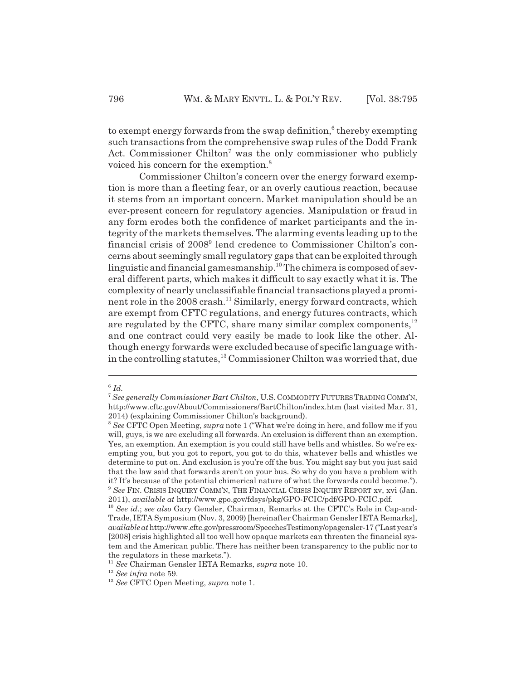to exempt energy forwards from the swap definition,<sup>6</sup> thereby exempting such transactions from the comprehensive swap rules of the Dodd Frank Act. Commissioner Chilton<sup>7</sup> was the only commissioner who publicly voiced his concern for the exemption.<sup>8</sup>

Commissioner Chilton's concern over the energy forward exemption is more than a fleeting fear, or an overly cautious reaction, because it stems from an important concern. Market manipulation should be an ever-present concern for regulatory agencies. Manipulation or fraud in any form erodes both the confidence of market participants and the integrity of the markets themselves. The alarming events leading up to the financial crisis of 2008<sup>9</sup> lend credence to Commissioner Chilton's concerns about seemingly small regulatory gaps that can be exploited through linguistic and financial gamesmanship.10 The chimera is composed of several different parts, which makes it difficult to say exactly what it is. The complexity of nearly unclassifiable financial transactions played a prominent role in the 2008 crash.<sup>11</sup> Similarly, energy forward contracts, which are exempt from CFTC regulations, and energy futures contracts, which are regulated by the CFTC, share many similar complex components,  $12$ and one contract could very easily be made to look like the other. Although energy forwards were excluded because of specific language within the controlling statutes,<sup>13</sup> Commissioner Chilton was worried that, due

 $6$   $Id.$ 

<sup>7</sup> *See generally Commissioner Bart Chilton*, U.S. COMMODITY FUTURES TRADING COMM'N, http://www.cftc.gov/About/Commissioners/BartChilton/index.htm (last visited Mar. 31, 2014) (explaining Commissioner Chilton's background).

<sup>8</sup> *See* CFTC Open Meeting, *supra* note 1 ("What we're doing in here, and follow me if you will, guys, is we are excluding all forwards. An exclusion is different than an exemption. Yes, an exemption. An exemption is you could still have bells and whistles. So we're exempting you, but you got to report, you got to do this, whatever bells and whistles we determine to put on. And exclusion is you're off the bus. You might say but you just said that the law said that forwards aren't on your bus. So why do you have a problem with it? It's because of the potential chimerical nature of what the forwards could become."). <sup>9</sup> *See* FIN. CRISIS INQUIRY COMM'N, THE FINANCIAL CRISIS INQUIRY REPORT xv, xvi (Jan. 2011), *available at* http://www.gpo.gov/fdsys/pkg/GPO-FCIC/pdf/GPO-FCIC.pdf.

<sup>10</sup> *See id.*; *see also* Gary Gensler, Chairman, Remarks at the CFTC's Role in Cap-and-Trade, IETA Symposium (Nov. 3, 2009) [hereinafter Chairman Gensler IETA Remarks], *available at* http://www.cftc.gov/pressroom/SpeechesTestimony/opagensler-17 ("Last year's [2008] crisis highlighted all too well how opaque markets can threaten the financial system and the American public. There has neither been transparency to the public nor to the regulators in these markets.").

<sup>11</sup> *See* Chairman Gensler IETA Remarks, *supra* note 10.

<sup>12</sup> *See infra* note 59.

<sup>13</sup> *See* CFTC Open Meeting, *supra* note 1.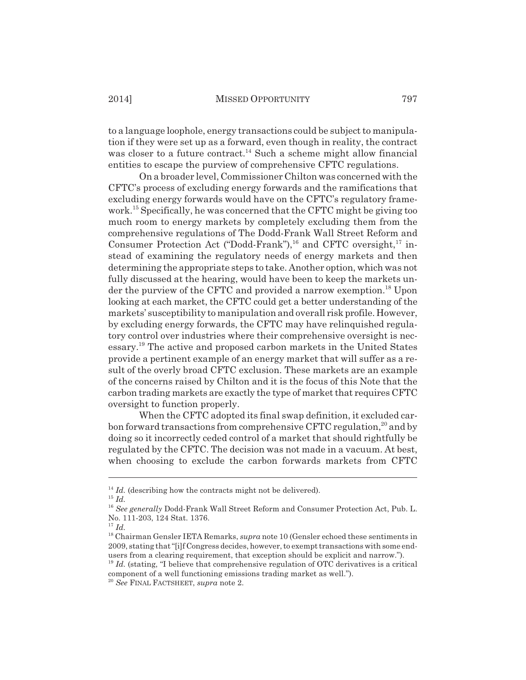to a language loophole, energy transactions could be subject to manipulation if they were set up as a forward, even though in reality, the contract was closer to a future contract.<sup>14</sup> Such a scheme might allow financial entities to escape the purview of comprehensive CFTC regulations.

On a broader level, Commissioner Chilton was concerned with the CFTC's process of excluding energy forwards and the ramifications that excluding energy forwards would have on the CFTC's regulatory framework.15 Specifically, he was concerned that the CFTC might be giving too much room to energy markets by completely excluding them from the comprehensive regulations of The Dodd-Frank Wall Street Reform and Consumer Protection Act ("Dodd-Frank"),<sup>16</sup> and CFTC oversight,<sup>17</sup> instead of examining the regulatory needs of energy markets and then determining the appropriate steps to take. Another option, which was not fully discussed at the hearing, would have been to keep the markets under the purview of the CFTC and provided a narrow exemption.<sup>18</sup> Upon looking at each market, the CFTC could get a better understanding of the markets' susceptibility to manipulation and overall risk profile. However, by excluding energy forwards, the CFTC may have relinquished regulatory control over industries where their comprehensive oversight is necessary.19 The active and proposed carbon markets in the United States provide a pertinent example of an energy market that will suffer as a result of the overly broad CFTC exclusion. These markets are an example of the concerns raised by Chilton and it is the focus of this Note that the carbon trading markets are exactly the type of market that requires CFTC oversight to function properly.

When the CFTC adopted its final swap definition, it excluded carbon forward transactions from comprehensive CFTC regulation, $^{20}$  and by doing so it incorrectly ceded control of a market that should rightfully be regulated by the CFTC. The decision was not made in a vacuum. At best, when choosing to exclude the carbon forwards markets from CFTC

<sup>15</sup> *Id.*

<sup>17</sup> *Id.*

 $14$  *Id.* (describing how the contracts might not be delivered).

<sup>16</sup> *See generally* Dodd-Frank Wall Street Reform and Consumer Protection Act, Pub. L. No. 111-203, 124 Stat. 1376.

<sup>18</sup> Chairman Gensler IETA Remarks, *supra* note 10 (Gensler echoed these sentiments in 2009, stating that "[i]f Congress decides, however, to exempt transactions with some endusers from a clearing requirement, that exception should be explicit and narrow.").

<sup>&</sup>lt;sup>19</sup> *Id.* (stating, "I believe that comprehensive regulation of OTC derivatives is a critical component of a well functioning emissions trading market as well.").

<sup>20</sup> *See* FINAL FACTSHEET, *supra* note 2.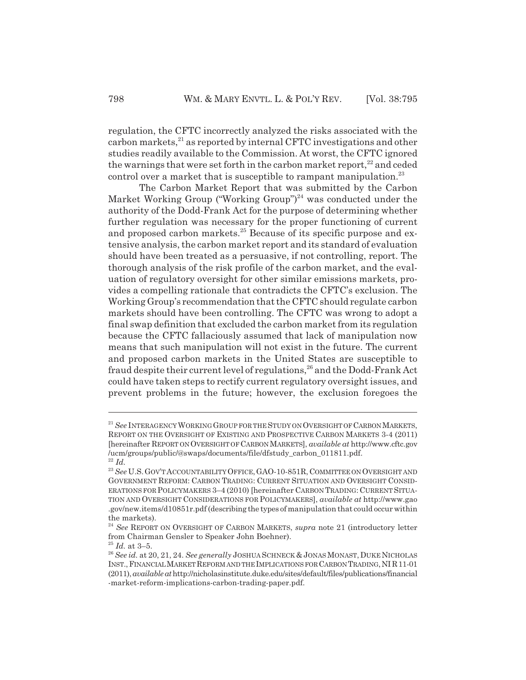regulation, the CFTC incorrectly analyzed the risks associated with the carbon markets, $^{21}$  as reported by internal CFTC investigations and other studies readily available to the Commission. At worst, the CFTC ignored the warnings that were set forth in the carbon market report, $^{22}$  and ceded control over a market that is susceptible to rampant manipulation.<sup>23</sup>

The Carbon Market Report that was submitted by the Carbon Market Working Group ("Working Group")<sup>24</sup> was conducted under the authority of the Dodd-Frank Act for the purpose of determining whether further regulation was necessary for the proper functioning of current and proposed carbon markets.<sup>25</sup> Because of its specific purpose and extensive analysis, the carbon market report and its standard of evaluation should have been treated as a persuasive, if not controlling, report. The thorough analysis of the risk profile of the carbon market, and the evaluation of regulatory oversight for other similar emissions markets, provides a compelling rationale that contradicts the CFTC's exclusion. The Working Group's recommendation that the CFTC should regulate carbon markets should have been controlling. The CFTC was wrong to adopt a final swap definition that excluded the carbon market from its regulation because the CFTC fallaciously assumed that lack of manipulation now means that such manipulation will not exist in the future. The current and proposed carbon markets in the United States are susceptible to fraud despite their current level of regulations,  $^{26}$  and the Dodd-Frank Act could have taken steps to rectify current regulatory oversight issues, and prevent problems in the future; however, the exclusion foregoes the

<sup>&</sup>lt;sup>21</sup> See INTERAGENCY WORKING GROUP FOR THE STUDY ON OVERSIGHT OF CARBON MARKETS, REPORT ON THE OVERSIGHT OF EXISTING AND PROSPECTIVE CARBON MARKETS 3-4 (2011) [hereinafter REPORT ON OVERSIGHT OF CARBON MARKETS], *available at* http://www.cftc.gov /ucm/groups/public/@swaps/documents/file/dfstudy\_carbon\_011811.pdf. <sup>22</sup> *Id.*

<sup>&</sup>lt;sup>23</sup> See U.S. GOV'T ACCOUNTABILITY OFFICE, GAO-10-851R, COMMITTEE ON OVERSIGHT AND GOVERNMENT REFORM: CARBON TRADING: CURRENT SITUATION AND OVERSIGHT CONSID-ERATIONS FOR POLICYMAKERS 3–4 (2010) [hereinafter CARBON TRADING: CURRENT SITUA-TION AND OVERSIGHT CONSIDERATIONS FOR POLICYMAKERS], *available at* http://www.gao .gov/new.items/d10851r.pdf (describing the types of manipulation that could occur within the markets).

<sup>24</sup> *See* REPORT ON OVERSIGHT OF CARBON MARKETS, *supra* note 21 (introductory letter from Chairman Gensler to Speaker John Boehner).

 $25$  *Id.* at 3-5.

<sup>&</sup>lt;sup>26</sup> See id. at 20, 21, 24. See generally JOSHUA SCHNECK & JONAS MONAST, DUKE NICHOLAS INST.,FINANCIAL MARKET REFORM AND THE IMPLICATIONS FOR CARBON TRADING,NIR11-01 (2011), *available at* http://nicholasinstitute.duke.edu/sites/default/files/publications/financial -market-reform-implications-carbon-trading-paper.pdf.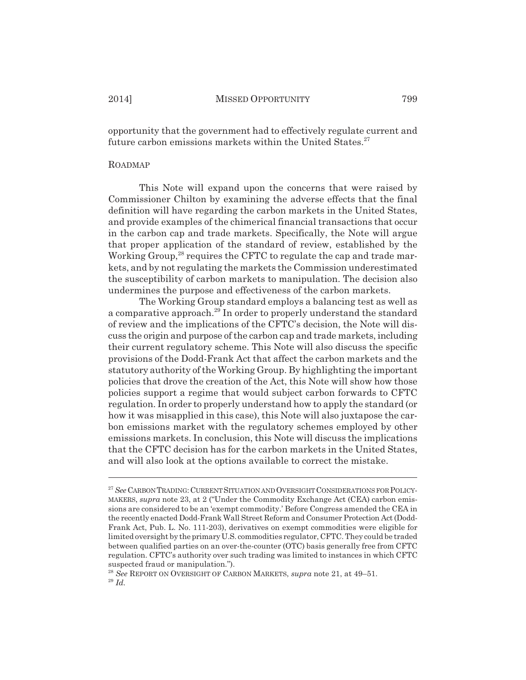opportunity that the government had to effectively regulate current and future carbon emissions markets within the United States. $27$ 

#### ROADMAP

This Note will expand upon the concerns that were raised by Commissioner Chilton by examining the adverse effects that the final definition will have regarding the carbon markets in the United States, and provide examples of the chimerical financial transactions that occur in the carbon cap and trade markets. Specifically, the Note will argue that proper application of the standard of review, established by the Working Group, $^{28}$  requires the CFTC to regulate the cap and trade markets, and by not regulating the markets the Commission underestimated the susceptibility of carbon markets to manipulation. The decision also undermines the purpose and effectiveness of the carbon markets.

The Working Group standard employs a balancing test as well as a comparative approach.<sup>29</sup> In order to properly understand the standard of review and the implications of the CFTC's decision, the Note will discuss the origin and purpose of the carbon cap and trade markets, including their current regulatory scheme. This Note will also discuss the specific provisions of the Dodd-Frank Act that affect the carbon markets and the statutory authority of the Working Group. By highlighting the important policies that drove the creation of the Act, this Note will show how those policies support a regime that would subject carbon forwards to CFTC regulation. In order to properly understand how to apply the standard (or how it was misapplied in this case), this Note will also juxtapose the carbon emissions market with the regulatory schemes employed by other emissions markets. In conclusion, this Note will discuss the implications that the CFTC decision has for the carbon markets in the United States, and will also look at the options available to correct the mistake.

<sup>&</sup>lt;sup>27</sup> See CARBON TRADING: CURRENT SITUATION AND OVERSIGHT CONSIDERATIONS FOR POLICY-MAKERS, *supra* note 23, at 2 ("Under the Commodity Exchange Act (CEA) carbon emissions are considered to be an 'exempt commodity.' Before Congress amended the CEA in the recently enacted Dodd-Frank Wall Street Reform and Consumer Protection Act (Dodd-Frank Act, Pub. L. No. 111-203), derivatives on exempt commodities were eligible for limited oversight by the primary U.S. commodities regulator, CFTC. They could be traded between qualified parties on an over-the-counter (OTC) basis generally free from CFTC regulation. CFTC's authority over such trading was limited to instances in which CFTC suspected fraud or manipulation.").

<sup>28</sup> *See* REPORT ON OVERSIGHT OF CARBON MARKETS, *supra* note 21, at 49–51. <sup>29</sup> *Id.*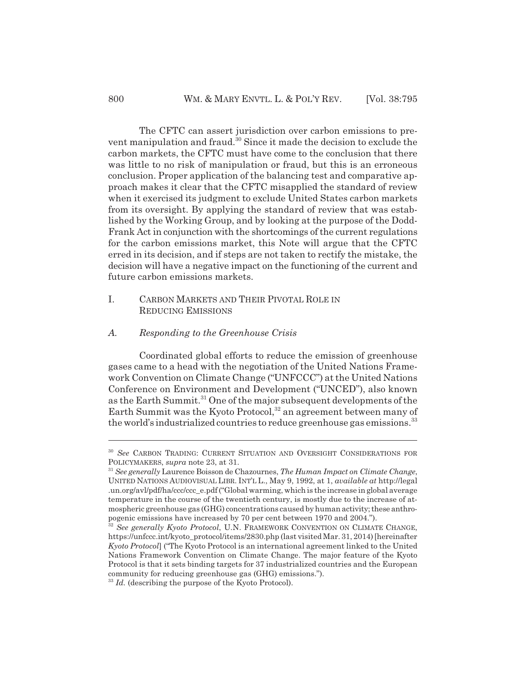The CFTC can assert jurisdiction over carbon emissions to prevent manipulation and fraud.30 Since it made the decision to exclude the carbon markets, the CFTC must have come to the conclusion that there was little to no risk of manipulation or fraud, but this is an erroneous conclusion. Proper application of the balancing test and comparative approach makes it clear that the CFTC misapplied the standard of review when it exercised its judgment to exclude United States carbon markets from its oversight. By applying the standard of review that was established by the Working Group, and by looking at the purpose of the Dodd-Frank Act in conjunction with the shortcomings of the current regulations for the carbon emissions market, this Note will argue that the CFTC erred in its decision, and if steps are not taken to rectify the mistake, the decision will have a negative impact on the functioning of the current and future carbon emissions markets.

#### I. CARBON MARKETS AND THEIR PIVOTAL ROLE IN REDUCING EMISSIONS

#### *A. Responding to the Greenhouse Crisis*

Coordinated global efforts to reduce the emission of greenhouse gases came to a head with the negotiation of the United Nations Framework Convention on Climate Change ("UNFCCC") at the United Nations Conference on Environment and Development ("UNCED"), also known as the Earth Summit.<sup>31</sup> One of the major subsequent developments of the Earth Summit was the Kyoto Protocol,<sup>32</sup> an agreement between many of the world's industrialized countries to reduce greenhouse gas emissions.<sup>33</sup>

<sup>&</sup>lt;sup>30</sup> See CARBON TRADING: CURRENT SITUATION AND OVERSIGHT CONSIDERATIONS FOR POLICYMAKERS, *supra* note 23, at 31.

<sup>31</sup> *See generally* Laurence Boisson de Chazournes, *The Human Impact on Climate Change*, UNITED NATIONS AUDIOVISUAL LIBR. INT'L L., May 9, 1992, at 1, *available at* http://legal .un.org/avl/pdf/ha/ccc/ccc\_e.pdf ("Global warming, which is the increase in global average temperature in the course of the twentieth century, is mostly due to the increase of atmospheric greenhouse gas (GHG) concentrations caused by human activity; these anthropogenic emissions have increased by 70 per cent between 1970 and 2004.").

See generally Kyoto Protocol, U.N. FRAMEWORK CONVENTION ON CLIMATE CHANGE, https://unfccc.int/kyoto\_protocol/items/2830.php (last visited Mar. 31, 2014) [hereinafter *Kyoto Protocol*] ("The Kyoto Protocol is an international agreement linked to the United Nations Framework Convention on Climate Change. The major feature of the Kyoto Protocol is that it sets binding targets for 37 industrialized countries and the European community for reducing greenhouse gas (GHG) emissions.").

<sup>&</sup>lt;sup>33</sup> *Id.* (describing the purpose of the Kyoto Protocol).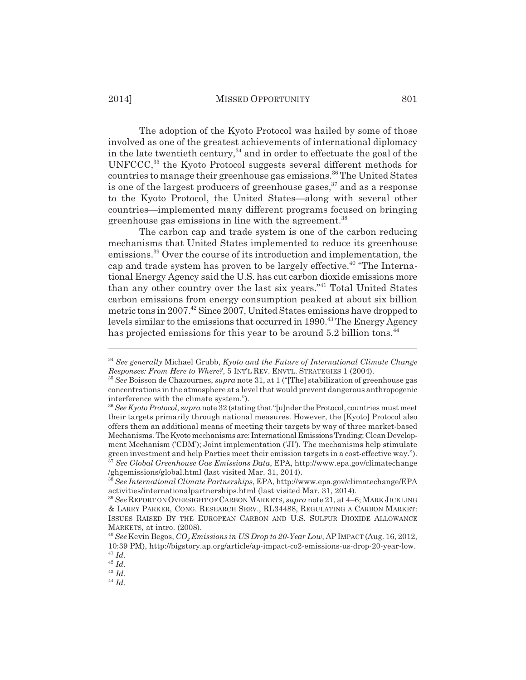The adoption of the Kyoto Protocol was hailed by some of those involved as one of the greatest achievements of international diplomacy in the late twentieth century, $34$  and in order to effectuate the goal of the UNFCCC,<sup>35</sup> the Kyoto Protocol suggests several different methods for countries to manage their greenhouse gas emissions.<sup>36</sup> The United States is one of the largest producers of greenhouse gases,  $37$  and as a response to the Kyoto Protocol, the United States—along with several other countries—implemented many different programs focused on bringing greenhouse gas emissions in line with the agreement.<sup>38</sup>

The carbon cap and trade system is one of the carbon reducing mechanisms that United States implemented to reduce its greenhouse emissions.39 Over the course of its introduction and implementation, the cap and trade system has proven to be largely effective.<sup>40</sup> "The International Energy Agency said the U.S. has cut carbon dioxide emissions more than any other country over the last six years."<sup>41</sup> Total United States carbon emissions from energy consumption peaked at about six billion metric tons in 2007.<sup>42</sup> Since 2007, United States emissions have dropped to levels similar to the emissions that occurred in 1990.<sup>43</sup> The Energy Agency has projected emissions for this year to be around 5.2 billion tons.<sup>44</sup>

<sup>34</sup> *See generally* Michael Grubb, *Kyoto and the Future of International Climate Change Responses: From Here to Where?*, 5 INT'L REV. ENVTL. STRATEGIES 1 (2004).

<sup>35</sup> *See* Boisson de Chazournes, *supra* note 31, at 1 ("[The] stabilization of greenhouse gas concentrations in the atmosphere at a level that would prevent dangerous anthropogenic interference with the climate system.").

<sup>36</sup> *See Kyoto Protocol*, *supra* note 32 (stating that "[u]nder the Protocol, countries must meet their targets primarily through national measures. However, the [Kyoto] Protocol also offers them an additional means of meeting their targets by way of three market-based Mechanisms. The Kyoto mechanisms are: International Emissions Trading; Clean Development Mechanism ('CDM'); Joint implementation ('JI'). The mechanisms help stimulate green investment and help Parties meet their emission targets in a cost-effective way."). <sup>37</sup> *See Global Greenhouse Gas Emissions Data*, EPA, http://www.epa.gov/climatechange

<sup>/</sup>ghgemissions/global.html (last visited Mar. 31, 2014).

<sup>38</sup> *See International Climate Partnerships*, EPA, http://www.epa.gov/climatechange/EPA activities/internationalpartnerships.html (last visited Mar. 31, 2014).

<sup>39</sup> *See* REPORT ON OVERSIGHT OF CARBON MARKETS, *supra* note 21, at 4–6; MARK JICKLING & LARRY PARKER, CONG. RESEARCH SERV., RL34488, REGULATING A CARBON MARKET: ISSUES RAISED BY THE EUROPEAN CARBON AND U.S. SULFUR DIOXIDE ALLOWANCE MARKETS, at intro. (2008).

<sup>40</sup> *See* Kevin Begos, *CO2 Emissions in US Drop to 20-Year Low*, APIMPACT (Aug. 16, 2012, 10:39 PM), http://bigstory.ap.org/article/ap-impact-co2-emissions-us-drop-20-year-low. <sup>41</sup> *Id.*

<sup>42</sup> *Id.*

<sup>43</sup> *Id.*

<sup>44</sup> *Id.*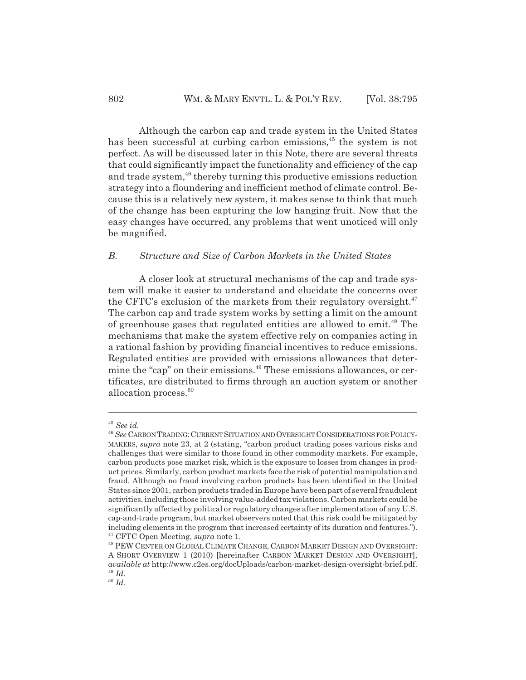Although the carbon cap and trade system in the United States has been successful at curbing carbon emissions,<sup>45</sup> the system is not perfect. As will be discussed later in this Note, there are several threats that could significantly impact the functionality and efficiency of the cap and trade system,<sup>46</sup> thereby turning this productive emissions reduction strategy into a floundering and inefficient method of climate control. Because this is a relatively new system, it makes sense to think that much of the change has been capturing the low hanging fruit. Now that the easy changes have occurred, any problems that went unoticed will only be magnified.

#### *B. Structure and Size of Carbon Markets in the United States*

A closer look at structural mechanisms of the cap and trade system will make it easier to understand and elucidate the concerns over the CFTC's exclusion of the markets from their regulatory oversight.<sup>47</sup> The carbon cap and trade system works by setting a limit on the amount of greenhouse gases that regulated entities are allowed to emit.48 The mechanisms that make the system effective rely on companies acting in a rational fashion by providing financial incentives to reduce emissions. Regulated entities are provided with emissions allowances that determine the "cap" on their emissions.<sup>49</sup> These emissions allowances, or certificates, are distributed to firms through an auction system or another allocation process.<sup>50</sup>

<sup>45</sup> *See id.*

<sup>46</sup> *See* CARBON TRADING:CURRENT SITUATION AND OVERSIGHT CONSIDERATIONS FOR POLICY-MAKERS, *supra* note 23, at 2 (stating, "carbon product trading poses various risks and challenges that were similar to those found in other commodity markets. For example, carbon products pose market risk, which is the exposure to losses from changes in product prices. Similarly, carbon product markets face the risk of potential manipulation and fraud. Although no fraud involving carbon products has been identified in the United States since 2001, carbon products traded in Europe have been part of several fraudulent activities, including those involving value-added tax violations. Carbon markets could be significantly affected by political or regulatory changes after implementation of any U.S. cap-and-trade program, but market observers noted that this risk could be mitigated by including elements in the program that increased certainty of its duration and features."). 47 CFTC Open Meeting, *supra* note 1.

<sup>48</sup> PEW CENTER ON GLOBAL CLIMATE CHANGE, CARBON MARKET DESIGN AND OVERSIGHT: A SHORT OVERVIEW 1 (2010) [hereinafter CARBON MARKET DESIGN AND OVERSIGHT], *available at* http://www.c2es.org/docUploads/carbon-market-design-oversight-brief.pdf. <sup>49</sup> *Id.* <sup>50</sup> *Id.*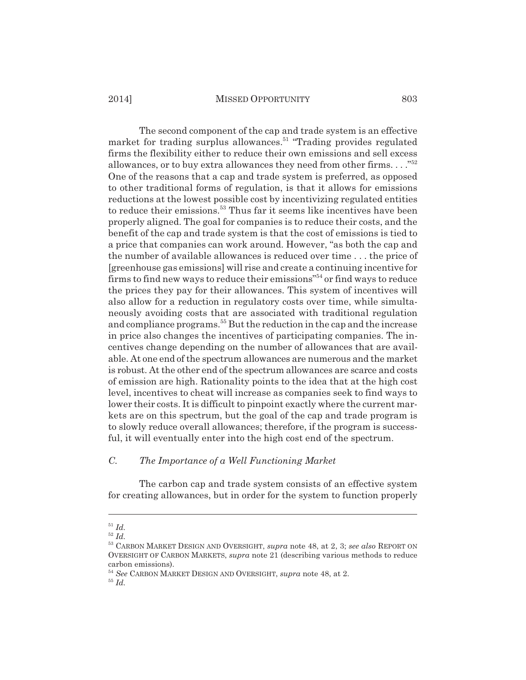The second component of the cap and trade system is an effective market for trading surplus allowances.<sup>51</sup> "Trading provides regulated firms the flexibility either to reduce their own emissions and sell excess allowances, or to buy extra allowances they need from other firms. . . ."52 One of the reasons that a cap and trade system is preferred, as opposed to other traditional forms of regulation, is that it allows for emissions reductions at the lowest possible cost by incentivizing regulated entities to reduce their emissions.<sup>53</sup> Thus far it seems like incentives have been properly aligned. The goal for companies is to reduce their costs, and the benefit of the cap and trade system is that the cost of emissions is tied to a price that companies can work around. However, "as both the cap and the number of available allowances is reduced over time . . . the price of [greenhouse gas emissions] will rise and create a continuing incentive for firms to find new ways to reduce their emissions"54 or find ways to reduce the prices they pay for their allowances. This system of incentives will also allow for a reduction in regulatory costs over time, while simultaneously avoiding costs that are associated with traditional regulation and compliance programs.<sup>55</sup> But the reduction in the cap and the increase in price also changes the incentives of participating companies. The incentives change depending on the number of allowances that are available. At one end of the spectrum allowances are numerous and the market is robust. At the other end of the spectrum allowances are scarce and costs of emission are high. Rationality points to the idea that at the high cost level, incentives to cheat will increase as companies seek to find ways to lower their costs. It is difficult to pinpoint exactly where the current markets are on this spectrum, but the goal of the cap and trade program is to slowly reduce overall allowances; therefore, if the program is successful, it will eventually enter into the high cost end of the spectrum.

#### *C. The Importance of a Well Functioning Market*

The carbon cap and trade system consists of an effective system for creating allowances, but in order for the system to function properly

<sup>51</sup> *Id.*

<sup>52</sup> *Id.*

<sup>53</sup> CARBON MARKET DESIGN AND OVERSIGHT, *supra* note 48, at 2, 3; *see also* REPORT ON OVERSIGHT OF CARBON MARKETS, *supra* note 21 (describing various methods to reduce carbon emissions).

<sup>54</sup> *See* CARBON MARKET DESIGN AND OVERSIGHT, *supra* note 48, at 2.

<sup>55</sup> *Id.*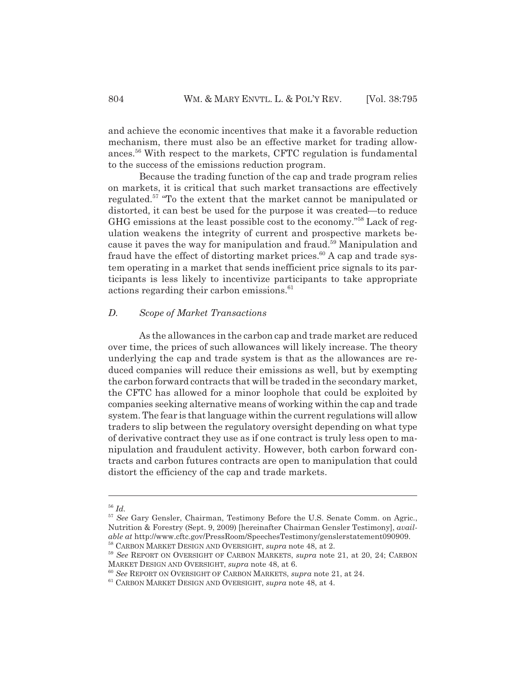and achieve the economic incentives that make it a favorable reduction mechanism, there must also be an effective market for trading allowances.56 With respect to the markets, CFTC regulation is fundamental to the success of the emissions reduction program.

Because the trading function of the cap and trade program relies on markets, it is critical that such market transactions are effectively regulated.57 "To the extent that the market cannot be manipulated or distorted, it can best be used for the purpose it was created—to reduce GHG emissions at the least possible cost to the economy."58 Lack of regulation weakens the integrity of current and prospective markets because it paves the way for manipulation and fraud.<sup>59</sup> Manipulation and fraud have the effect of distorting market prices. $60$  A cap and trade system operating in a market that sends inefficient price signals to its participants is less likely to incentivize participants to take appropriate actions regarding their carbon emissions.<sup>61</sup>

#### *D. Scope of Market Transactions*

As the allowances in the carbon cap and trade market are reduced over time, the prices of such allowances will likely increase. The theory underlying the cap and trade system is that as the allowances are reduced companies will reduce their emissions as well, but by exempting the carbon forward contracts that will be traded in the secondary market, the CFTC has allowed for a minor loophole that could be exploited by companies seeking alternative means of working within the cap and trade system. The fear is that language within the current regulations will allow traders to slip between the regulatory oversight depending on what type of derivative contract they use as if one contract is truly less open to manipulation and fraudulent activity. However, both carbon forward contracts and carbon futures contracts are open to manipulation that could distort the efficiency of the cap and trade markets.

<sup>56</sup> *Id.*

<sup>57</sup> *See* Gary Gensler, Chairman, Testimony Before the U.S. Senate Comm. on Agric., Nutrition & Forestry (Sept. 9, 2009) [hereinafter Chairman Gensler Testimony], *available at* http://www.cftc.gov/PressRoom/SpeechesTestimony/genslerstatement090909.

<sup>58</sup> CARBON MARKET DESIGN AND OVERSIGHT, *supra* note 48, at 2.

<sup>59</sup> *See* REPORT ON OVERSIGHT OF CARBON MARKETS, *supra* note 21, at 20, 24; CARBON MARKET DESIGN AND OVERSIGHT, *supra* note 48, at 6.

<sup>60</sup> *See* REPORT ON OVERSIGHT OF CARBON MARKETS, *supra* note 21, at 24.

<sup>61</sup> CARBON MARKET DESIGN AND OVERSIGHT, *supra* note 48, at 4.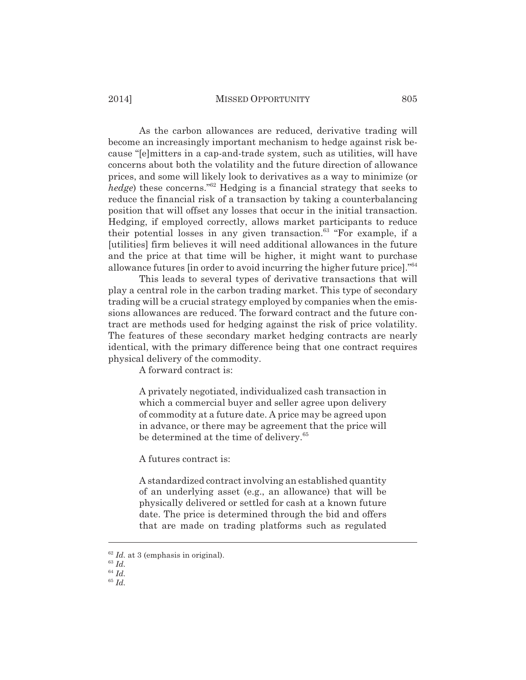As the carbon allowances are reduced, derivative trading will become an increasingly important mechanism to hedge against risk because "[e]mitters in a cap-and-trade system, such as utilities, will have concerns about both the volatility and the future direction of allowance prices, and some will likely look to derivatives as a way to minimize (or *hedge*) these concerns."<sup>62</sup> Hedging is a financial strategy that seeks to reduce the financial risk of a transaction by taking a counterbalancing position that will offset any losses that occur in the initial transaction. Hedging, if employed correctly, allows market participants to reduce their potential losses in any given transaction.<sup>63</sup> "For example, if a [utilities] firm believes it will need additional allowances in the future and the price at that time will be higher, it might want to purchase allowance futures [in order to avoid incurring the higher future price]."64

This leads to several types of derivative transactions that will play a central role in the carbon trading market. This type of secondary trading will be a crucial strategy employed by companies when the emissions allowances are reduced. The forward contract and the future contract are methods used for hedging against the risk of price volatility. The features of these secondary market hedging contracts are nearly identical, with the primary difference being that one contract requires physical delivery of the commodity.

A forward contract is:

A privately negotiated, individualized cash transaction in which a commercial buyer and seller agree upon delivery of commodity at a future date. A price may be agreed upon in advance, or there may be agreement that the price will be determined at the time of delivery.<sup>65</sup>

A futures contract is:

A standardized contract involving an established quantity of an underlying asset (e.g., an allowance) that will be physically delivered or settled for cash at a known future date. The price is determined through the bid and offers that are made on trading platforms such as regulated

<sup>&</sup>lt;sup>62</sup> *Id.* at 3 (emphasis in original).

<sup>63</sup> *Id.*

<sup>64</sup> *Id.*

<sup>65</sup> *Id.*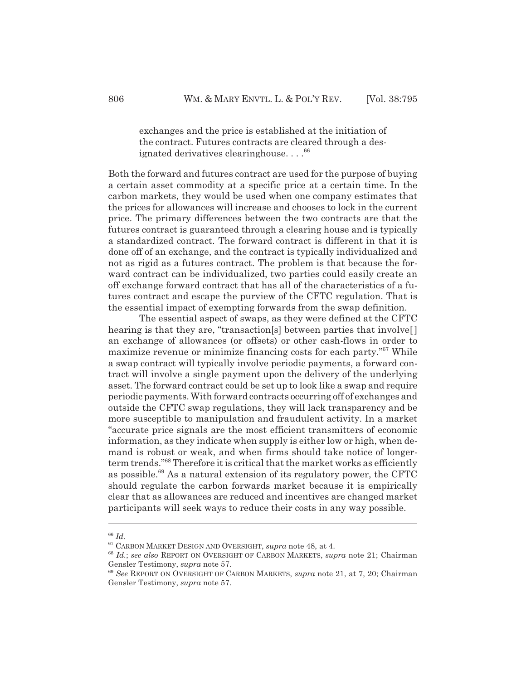exchanges and the price is established at the initiation of the contract. Futures contracts are cleared through a designated derivatives clearinghouse... $^{66}$ 

Both the forward and futures contract are used for the purpose of buying a certain asset commodity at a specific price at a certain time. In the carbon markets, they would be used when one company estimates that the prices for allowances will increase and chooses to lock in the current price. The primary differences between the two contracts are that the futures contract is guaranteed through a clearing house and is typically a standardized contract. The forward contract is different in that it is done off of an exchange, and the contract is typically individualized and not as rigid as a futures contract. The problem is that because the forward contract can be individualized, two parties could easily create an off exchange forward contract that has all of the characteristics of a futures contract and escape the purview of the CFTC regulation. That is the essential impact of exempting forwards from the swap definition.

The essential aspect of swaps, as they were defined at the CFTC hearing is that they are, "transaction[s] between parties that involve[] an exchange of allowances (or offsets) or other cash-flows in order to maximize revenue or minimize financing costs for each party."67 While a swap contract will typically involve periodic payments, a forward contract will involve a single payment upon the delivery of the underlying asset. The forward contract could be set up to look like a swap and require periodic payments. With forward contracts occurring off of exchanges and outside the CFTC swap regulations, they will lack transparency and be more susceptible to manipulation and fraudulent activity. In a market "accurate price signals are the most efficient transmitters of economic information, as they indicate when supply is either low or high, when demand is robust or weak, and when firms should take notice of longerterm trends."68 Therefore it is critical that the market works as efficiently as possible. $69$  As a natural extension of its regulatory power, the CFTC should regulate the carbon forwards market because it is empirically clear that as allowances are reduced and incentives are changed market participants will seek ways to reduce their costs in any way possible.

<sup>66</sup> *Id.*

<sup>67</sup> CARBON MARKET DESIGN AND OVERSIGHT, *supra* note 48, at 4.

<sup>68</sup> *Id.*; *see also* REPORT ON OVERSIGHT OF CARBON MARKETS, *supra* note 21; Chairman Gensler Testimony, *supra* note 57.

<sup>69</sup> *See* REPORT ON OVERSIGHT OF CARBON MARKETS, *supra* note 21, at 7, 20; Chairman Gensler Testimony, *supra* note 57.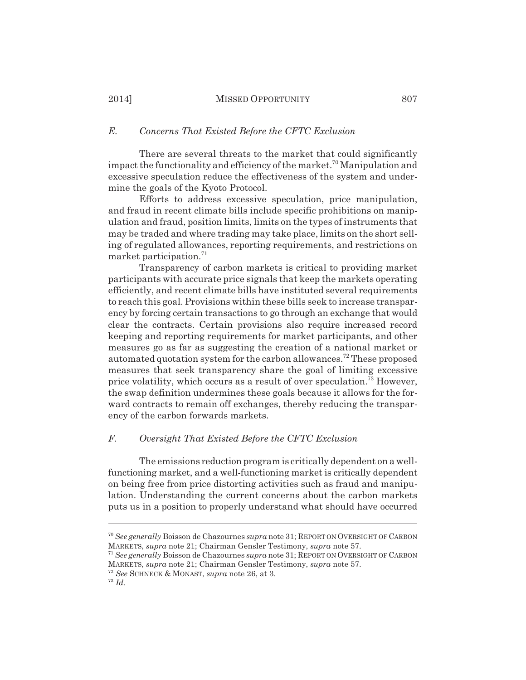# *E. Concerns That Existed Before the CFTC Exclusion*

There are several threats to the market that could significantly impact the functionality and efficiency of the market.<sup>70</sup> Manipulation and excessive speculation reduce the effectiveness of the system and undermine the goals of the Kyoto Protocol.

Efforts to address excessive speculation, price manipulation, and fraud in recent climate bills include specific prohibitions on manipulation and fraud, position limits, limits on the types of instruments that may be traded and where trading may take place, limits on the short selling of regulated allowances, reporting requirements, and restrictions on market participation.<sup>71</sup>

Transparency of carbon markets is critical to providing market participants with accurate price signals that keep the markets operating efficiently, and recent climate bills have instituted several requirements to reach this goal. Provisions within these bills seek to increase transparency by forcing certain transactions to go through an exchange that would clear the contracts. Certain provisions also require increased record keeping and reporting requirements for market participants, and other measures go as far as suggesting the creation of a national market or automated quotation system for the carbon allowances.<sup>72</sup> These proposed measures that seek transparency share the goal of limiting excessive price volatility, which occurs as a result of over speculation.<sup>73</sup> However, the swap definition undermines these goals because it allows for the forward contracts to remain off exchanges, thereby reducing the transparency of the carbon forwards markets.

# *F. Oversight That Existed Before the CFTC Exclusion*

The emissions reduction program is critically dependent on a wellfunctioning market, and a well-functioning market is critically dependent on being free from price distorting activities such as fraud and manipulation. Understanding the current concerns about the carbon markets puts us in a position to properly understand what should have occurred

<sup>70</sup> *See generally* Boisson de Chazournes *supra* note 31; REPORT ON OVERSIGHT OF CARBON MARKETS, *supra* note 21; Chairman Gensler Testimony, *supra* note 57.

<sup>71</sup> *See generally* Boisson de Chazournes *supra* note 31; REPORT ON OVERSIGHT OF CARBON MARKETS, *supra* note 21; Chairman Gensler Testimony, *supra* note 57.

<sup>72</sup> *See* SCHNECK & MONAST, *supra* note 26, at 3.

<sup>73</sup> *Id.*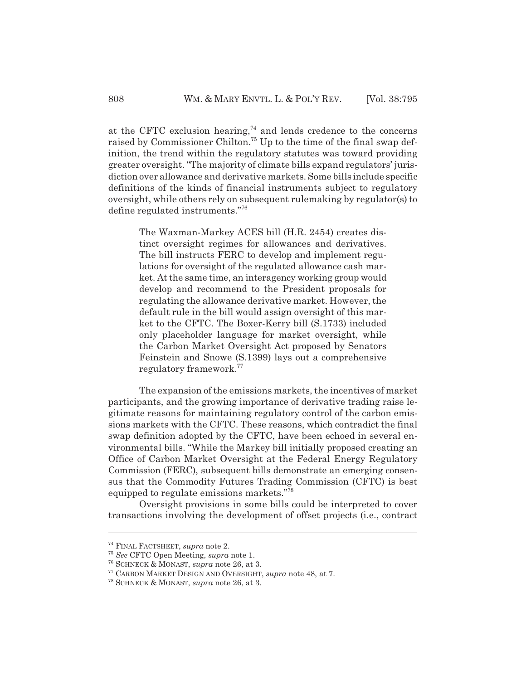at the CFTC exclusion hearing, $74$  and lends credence to the concerns raised by Commissioner Chilton.<sup>75</sup> Up to the time of the final swap definition, the trend within the regulatory statutes was toward providing greater oversight. "The majority of climate bills expand regulators' jurisdiction over allowance and derivative markets. Some bills include specific definitions of the kinds of financial instruments subject to regulatory oversight, while others rely on subsequent rulemaking by regulator(s) to define regulated instruments."76

The Waxman-Markey ACES bill (H.R. 2454) creates distinct oversight regimes for allowances and derivatives. The bill instructs FERC to develop and implement regulations for oversight of the regulated allowance cash market. At the same time, an interagency working group would develop and recommend to the President proposals for regulating the allowance derivative market. However, the default rule in the bill would assign oversight of this market to the CFTC. The Boxer-Kerry bill (S.1733) included only placeholder language for market oversight, while the Carbon Market Oversight Act proposed by Senators Feinstein and Snowe (S.1399) lays out a comprehensive regulatory framework.77

The expansion of the emissions markets, the incentives of market participants, and the growing importance of derivative trading raise legitimate reasons for maintaining regulatory control of the carbon emissions markets with the CFTC. These reasons, which contradict the final swap definition adopted by the CFTC, have been echoed in several environmental bills. "While the Markey bill initially proposed creating an Office of Carbon Market Oversight at the Federal Energy Regulatory Commission (FERC), subsequent bills demonstrate an emerging consensus that the Commodity Futures Trading Commission (CFTC) is best equipped to regulate emissions markets."78

Oversight provisions in some bills could be interpreted to cover transactions involving the development of offset projects (i.e., contract

<sup>74</sup> FINAL FACTSHEET, *supra* note 2.

<sup>75</sup> *See* CFTC Open Meeting, *supra* note 1.

<sup>76</sup> SCHNECK & MONAST, *supra* note 26, at 3.

<sup>77</sup> CARBON MARKET DESIGN AND OVERSIGHT, *supra* note 48, at 7.

<sup>78</sup> SCHNECK & MONAST, *supra* note 26, at 3.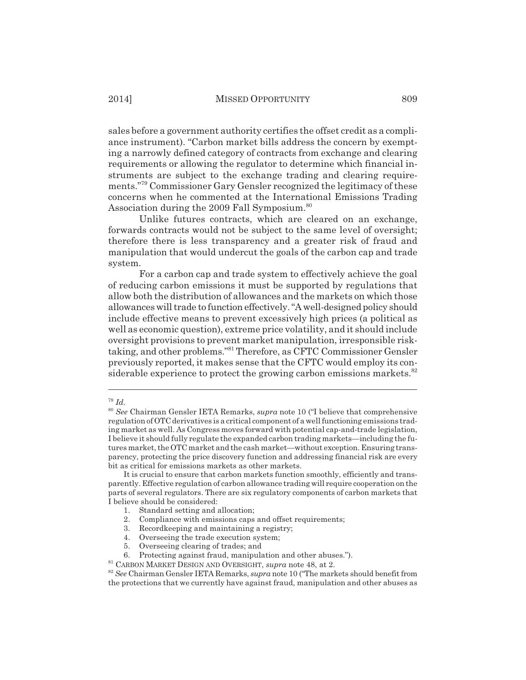sales before a government authority certifies the offset credit as a compliance instrument). "Carbon market bills address the concern by exempting a narrowly defined category of contracts from exchange and clearing requirements or allowing the regulator to determine which financial instruments are subject to the exchange trading and clearing requirements."79 Commissioner Gary Gensler recognized the legitimacy of these concerns when he commented at the International Emissions Trading Association during the 2009 Fall Symposium.<sup>80</sup>

Unlike futures contracts, which are cleared on an exchange, forwards contracts would not be subject to the same level of oversight; therefore there is less transparency and a greater risk of fraud and manipulation that would undercut the goals of the carbon cap and trade system.

For a carbon cap and trade system to effectively achieve the goal of reducing carbon emissions it must be supported by regulations that allow both the distribution of allowances and the markets on which those allowances will trade to function effectively. "A well-designed policy should include effective means to prevent excessively high prices (a political as well as economic question), extreme price volatility, and it should include oversight provisions to prevent market manipulation, irresponsible risktaking, and other problems."81 Therefore, as CFTC Commissioner Gensler previously reported, it makes sense that the CFTC would employ its considerable experience to protect the growing carbon emissions markets. $82$ 

- 4. Overseeing the trade execution system;
- 5. Overseeing clearing of trades; and

<sup>79</sup> *Id.*

<sup>80</sup> *See* Chairman Gensler IETA Remarks, *supra* note 10 ("I believe that comprehensive regulation of OTC derivatives is a critical component of a well functioning emissions trading market as well. As Congress moves forward with potential cap-and-trade legislation, I believe it should fully regulate the expanded carbon trading markets—including the futures market, the OTC market and the cash market—without exception. Ensuring transparency, protecting the price discovery function and addressing financial risk are every bit as critical for emissions markets as other markets.

It is crucial to ensure that carbon markets function smoothly, efficiently and transparently. Effective regulation of carbon allowance trading will require cooperation on the parts of several regulators. There are six regulatory components of carbon markets that I believe should be considered:

<sup>1.</sup> Standard setting and allocation;

<sup>2.</sup> Compliance with emissions caps and offset requirements;

<sup>3.</sup> Recordkeeping and maintaining a registry;

<sup>6.</sup> Protecting against fraud, manipulation and other abuses.").

<sup>81</sup> CARBON MARKET DESIGN AND OVERSIGHT, *supra* note 48, at 2.

<sup>82</sup> *See* Chairman Gensler IETA Remarks, *supra* note 10 ("The markets should benefit from the protections that we currently have against fraud, manipulation and other abuses as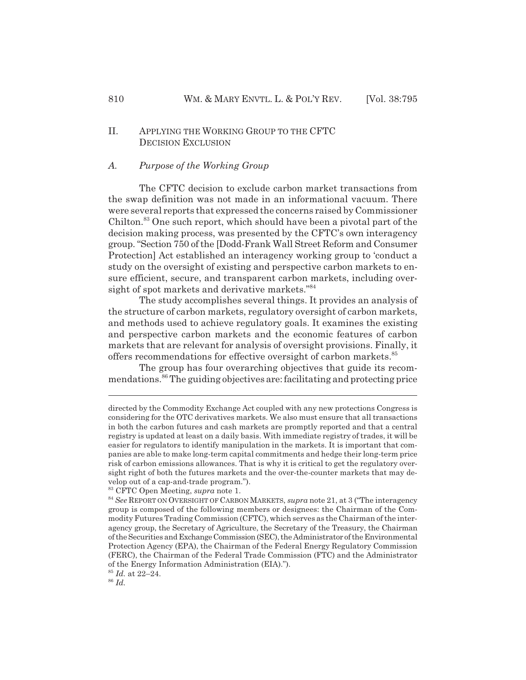## II. APPLYING THE WORKING GROUP TO THE CFTC DECISION EXCLUSION

# *A. Purpose of the Working Group*

The CFTC decision to exclude carbon market transactions from the swap definition was not made in an informational vacuum. There were several reports that expressed the concerns raised by Commissioner Chilton.<sup>83</sup> One such report, which should have been a pivotal part of the decision making process, was presented by the CFTC's own interagency group. "Section 750 of the [Dodd-Frank Wall Street Reform and Consumer Protection] Act established an interagency working group to 'conduct a study on the oversight of existing and perspective carbon markets to ensure efficient, secure, and transparent carbon markets, including oversight of spot markets and derivative markets."84

The study accomplishes several things. It provides an analysis of the structure of carbon markets, regulatory oversight of carbon markets, and methods used to achieve regulatory goals. It examines the existing and perspective carbon markets and the economic features of carbon markets that are relevant for analysis of oversight provisions. Finally, it offers recommendations for effective oversight of carbon markets.<sup>85</sup>

The group has four overarching objectives that guide its recommendations.86 The guiding objectives are: facilitating and protecting price

<sup>85</sup> *Id.* at 22–24.

<sup>86</sup> *Id.*

directed by the Commodity Exchange Act coupled with any new protections Congress is considering for the OTC derivatives markets. We also must ensure that all transactions in both the carbon futures and cash markets are promptly reported and that a central registry is updated at least on a daily basis. With immediate registry of trades, it will be easier for regulators to identify manipulation in the markets. It is important that companies are able to make long-term capital commitments and hedge their long-term price risk of carbon emissions allowances. That is why it is critical to get the regulatory oversight right of both the futures markets and the over-the-counter markets that may develop out of a cap-and-trade program.").

<sup>83</sup> CFTC Open Meeting, *supra* note 1.

<sup>84</sup> *See* REPORT ON OVERSIGHT OF CARBON MARKETS, *supra* note 21, at 3 ("The interagency group is composed of the following members or designees: the Chairman of the Commodity Futures Trading Commission (CFTC), which serves as the Chairman of the interagency group, the Secretary of Agriculture, the Secretary of the Treasury, the Chairman of the Securities and Exchange Commission (SEC), the Administrator of the Environmental Protection Agency (EPA), the Chairman of the Federal Energy Regulatory Commission (FERC), the Chairman of the Federal Trade Commission (FTC) and the Administrator of the Energy Information Administration (EIA).").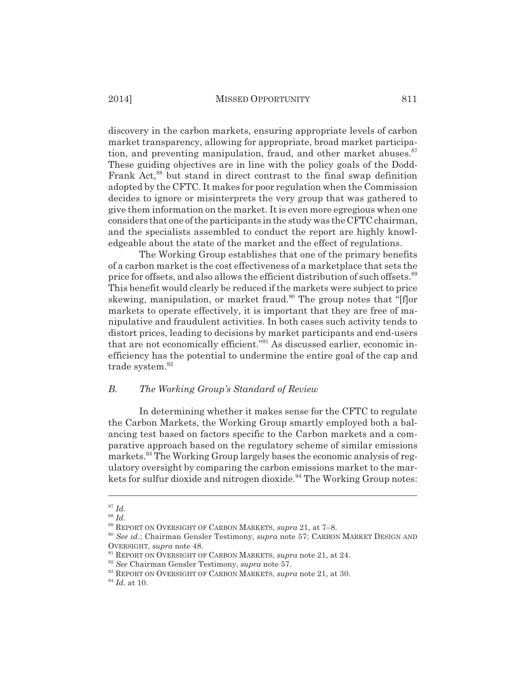discovery in the carbon markets, ensuring appropriate levels of carbon market transparency, allowing for appropriate, broad market participation, and preventing manipulation, fraud, and other market abuses. $87$ These guiding objectives are in line with the policy goals of the Dodd-Frank Act,<sup>88</sup> but stand in direct contrast to the final swap definition adopted by the CFTC. It makes for poor regulation when the Commission decides to ignore or misinterprets the very group that was gathered to give them information on the market. It is even more egregious when one considers that one of the participants in the study was the CFTC chairman, and the specialists assembled to conduct the report are highly knowledgeable about the state of the market and the effect of regulations.

The Working Group establishes that one of the primary benefits of a carbon market is the cost effectiveness of a marketplace that sets the price for offsets, and also allows the efficient distribution of such offsets.<sup>89</sup> This benefit would clearly be reduced if the markets were subject to price skewing, manipulation, or market fraud.<sup>90</sup> The group notes that "[f]or markets to operate effectively, it is important that they are free of manipulative and fraudulent activities. In both cases such activity tends to distort prices, leading to decisions by market participants and end-users that are not economically efficient."91 As discussed earlier, economic inefficiency has the potential to undermine the entire goal of the cap and trade system. $92$ 

# *B. The Working Group's Standard of Review*

In determining whether it makes sense for the CFTC to regulate the Carbon Markets, the Working Group smartly employed both a balancing test based on factors specific to the Carbon markets and a comparative approach based on the regulatory scheme of similar emissions markets.<sup>93</sup> The Working Group largely bases the economic analysis of regulatory oversight by comparing the carbon emissions market to the markets for sulfur dioxide and nitrogen dioxide.<sup>94</sup> The Working Group notes:

<sup>87</sup> *Id.*

<sup>88</sup> *Id.*

<sup>89</sup> REPORT ON OVERSIGHT OF CARBON MARKETS, *supra* 21, at 7–8.

<sup>90</sup> *See id.*; Chairman Gensler Testimony, *supra* note 57; CARBON MARKET DESIGN AND OVERSIGHT, *supra* note 48.

<sup>91</sup> REPORT ON OVERSIGHT OF CARBON MARKETS, *supra* note 21, at 24.

<sup>92</sup> *See* Chairman Gensler Testimony, *supra* note 57.

<sup>93</sup> REPORT ON OVERSIGHT OF CARBON MARKETS, *supra* note 21, at 30.

<sup>94</sup> *Id.* at 10.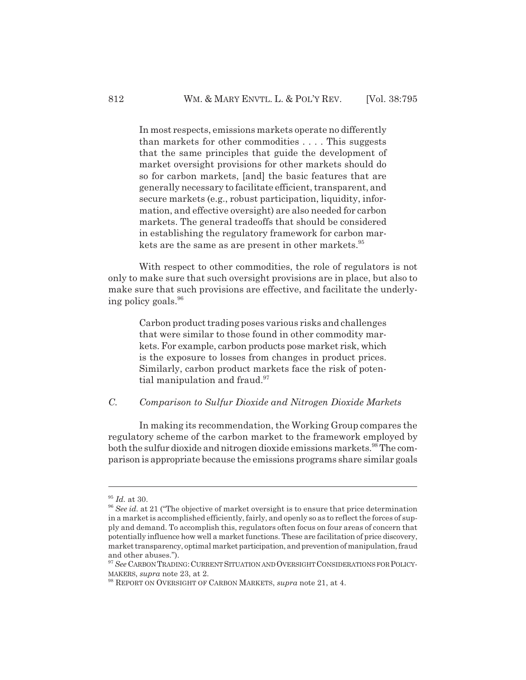In most respects, emissions markets operate no differently than markets for other commodities . . . . This suggests that the same principles that guide the development of market oversight provisions for other markets should do so for carbon markets, [and] the basic features that are generally necessary to facilitate efficient, transparent, and secure markets (e.g., robust participation, liquidity, information, and effective oversight) are also needed for carbon markets. The general tradeoffs that should be considered in establishing the regulatory framework for carbon markets are the same as are present in other markets.<sup>95</sup>

With respect to other commodities, the role of regulators is not only to make sure that such oversight provisions are in place, but also to make sure that such provisions are effective, and facilitate the underlying policy goals.<sup>96</sup>

Carbon product trading poses various risks and challenges that were similar to those found in other commodity markets. For example, carbon products pose market risk, which is the exposure to losses from changes in product prices. Similarly, carbon product markets face the risk of potential manipulation and fraud.<sup>97</sup>

# *C. Comparison to Sulfur Dioxide and Nitrogen Dioxide Markets*

In making its recommendation, the Working Group compares the regulatory scheme of the carbon market to the framework employed by both the sulfur dioxide and nitrogen dioxide emissions markets.<sup>98</sup> The comparison is appropriate because the emissions programs share similar goals

<sup>95</sup> *Id.* at 30.

<sup>96</sup> *See id.* at 21 ("The objective of market oversight is to ensure that price determination in a market is accomplished efficiently, fairly, and openly so as to reflect the forces of supply and demand. To accomplish this, regulators often focus on four areas of concern that potentially influence how well a market functions. These are facilitation of price discovery, market transparency, optimal market participation, and prevention of manipulation, fraud and other abuses.").

<sup>97</sup> *See* CARBON TRADING:CURRENT SITUATION AND OVERSIGHT CONSIDERATIONS FOR POLICY-MAKERS, *supra* note 23, at 2.

<sup>98</sup> REPORT ON OVERSIGHT OF CARBON MARKETS, *supra* note 21, at 4.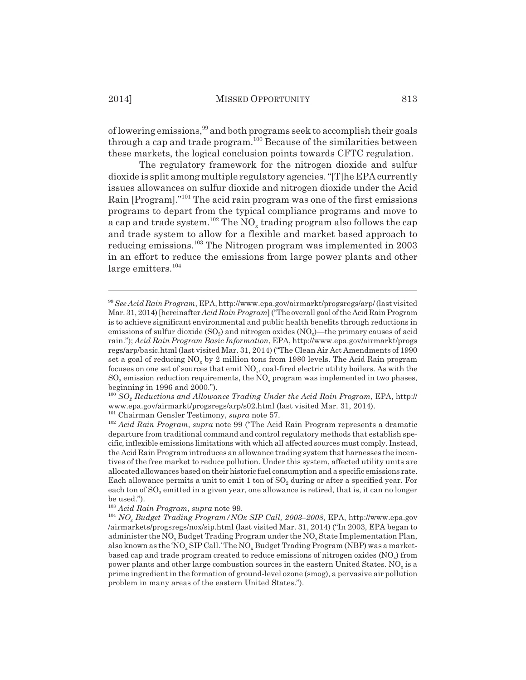of lowering emissions,99 and both programs seek to accomplish their goals through a cap and trade program.100 Because of the similarities between these markets, the logical conclusion points towards CFTC regulation.

The regulatory framework for the nitrogen dioxide and sulfur dioxide is split among multiple regulatory agencies. "[T]he EPA currently issues allowances on sulfur dioxide and nitrogen dioxide under the Acid Rain [Program]."101 The acid rain program was one of the first emissions programs to depart from the typical compliance programs and move to a cap and trade system.<sup>102</sup> The  $\overline{NO_x}$  trading program also follows the cap and trade system to allow for a flexible and market based approach to reducing emissions.103 The Nitrogen program was implemented in 2003 in an effort to reduce the emissions from large power plants and other large emitters.<sup>104</sup>

<sup>99</sup>*See Acid Rain Program*, EPA, http://www.epa.gov/airmarkt/progsregs/arp/ (last visited Mar. 31, 2014) [hereinafter *Acid Rain Program*] ("The overall goal of the Acid Rain Program is to achieve significant environmental and public health benefits through reductions in emissions of sulfur dioxide  $(SO<sub>2</sub>)$  and nitrogen oxides  $(NO<sub>x</sub>)$ —the primary causes of acid rain."); *Acid Rain Program Basic Information*, EPA, http://www.epa.gov/airmarkt/progs regs/arp/basic.html (last visited Mar. 31, 2014) ("The Clean Air Act Amendments of 1990 set a goal of reducing  $NO_x$  by 2 million tons from 1980 levels. The Acid Rain program focuses on one set of sources that  $emit NO<sub>x</sub>$ , coal-fired electric utility boilers. As with the  $SO<sub>2</sub>$  emission reduction requirements, the  $NO<sub>x</sub>$  program was implemented in two phases, beginning in 1996 and 2000.").

<sup>&</sup>lt;sup>100</sup> SO<sub>2</sub> Reductions and Allowance Trading Under the Acid Rain Program, EPA, http:// www.epa.gov/airmarkt/progsregs/arp/s02.html (last visited Mar. 31, 2014).

<sup>101</sup> Chairman Gensler Testimony, *supra* note 57.

<sup>102</sup> *Acid Rain Program*, *supra* note 99 ("The Acid Rain Program represents a dramatic departure from traditional command and control regulatory methods that establish specific, inflexible emissions limitations with which all affected sources must comply. Instead, the Acid Rain Program introduces an allowance trading system that harnesses the incentives of the free market to reduce pollution. Under this system, affected utility units are allocated allowances based on their historic fuel consumption and a specific emissions rate. Each allowance permits a unit to emit 1 ton of  $SO<sub>2</sub>$  during or after a specified year. For each ton of  $SO<sub>2</sub>$  emitted in a given year, one allowance is retired, that is, it can no longer be used.").

<sup>103</sup> *Acid Rain Program*, *supra* note 99.

<sup>104</sup> *NOx Budget Trading Program/NOx SIP Call, 2003–2008*, EPA, http://www.epa.gov /airmarkets/progsregs/nox/sip.html (last visited Mar. 31, 2014) ("In 2003, EPA began to administer the  $NO_x$  Budget Trading Program under the  $NO_x$  State Implementation Plan, also known as the 'NO<sub>x</sub> SIP Call.' The NO<sub>x</sub> Budget Trading Program (NBP) was a marketbased cap and trade program created to reduce emissions of nitrogen oxides (NO<sub>x</sub>) from power plants and other large combustion sources in the eastern United States. NO<sub>x</sub> is a prime ingredient in the formation of ground-level ozone (smog), a pervasive air pollution problem in many areas of the eastern United States.").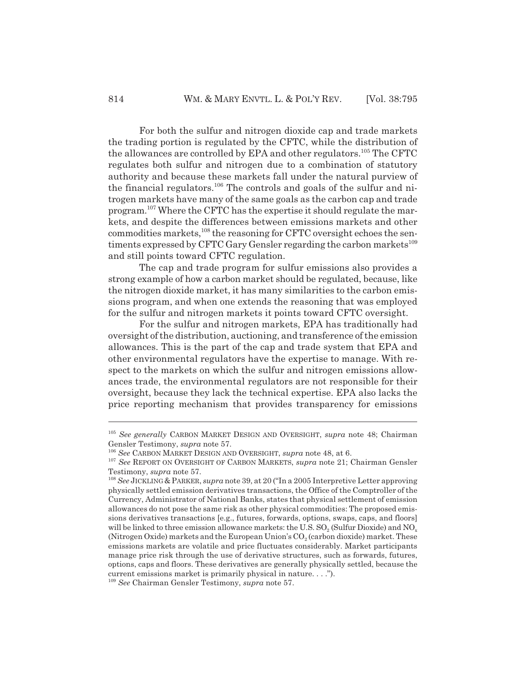For both the sulfur and nitrogen dioxide cap and trade markets the trading portion is regulated by the CFTC, while the distribution of the allowances are controlled by EPA and other regulators.105 The CFTC regulates both sulfur and nitrogen due to a combination of statutory authority and because these markets fall under the natural purview of the financial regulators.<sup>106</sup> The controls and goals of the sulfur and nitrogen markets have many of the same goals as the carbon cap and trade program.107 Where the CFTC has the expertise it should regulate the markets, and despite the differences between emissions markets and other commodities markets,<sup>108</sup> the reasoning for CFTC oversight echoes the sentiments expressed by CFTC Gary Gensler regarding the carbon markets<sup>109</sup> and still points toward CFTC regulation.

The cap and trade program for sulfur emissions also provides a strong example of how a carbon market should be regulated, because, like the nitrogen dioxide market, it has many similarities to the carbon emissions program, and when one extends the reasoning that was employed for the sulfur and nitrogen markets it points toward CFTC oversight.

For the sulfur and nitrogen markets, EPA has traditionally had oversight of the distribution, auctioning, and transference of the emission allowances. This is the part of the cap and trade system that EPA and other environmental regulators have the expertise to manage. With respect to the markets on which the sulfur and nitrogen emissions allowances trade, the environmental regulators are not responsible for their oversight, because they lack the technical expertise. EPA also lacks the price reporting mechanism that provides transparency for emissions

<sup>105</sup> *See generally* CARBON MARKET DESIGN AND OVERSIGHT, *supra* note 48; Chairman Gensler Testimony, *supra* note 57.

<sup>106</sup> *See* CARBON MARKET DESIGN AND OVERSIGHT, *supra* note 48, at 6.

<sup>107</sup> *See* REPORT ON OVERSIGHT OF CARBON MARKETS, *supra* note 21; Chairman Gensler Testimony, *supra* note 57.

<sup>&</sup>lt;sup>108</sup> See JICKLING & PARKER, *supra* note 39, at 20 ("In a 2005 Interpretive Letter approving physically settled emission derivatives transactions, the Office of the Comptroller of the Currency, Administrator of National Banks, states that physical settlement of emission allowances do not pose the same risk as other physical commodities: The proposed emissions derivatives transactions [e.g., futures, forwards, options, swaps, caps, and floors] will be linked to three emission allowance markets: the U.S.  $SO<sub>2</sub>$  (Sulfur Dioxide) and NO<sub>x</sub> (Nitrogen Oxide) markets and the European Union's  $CO<sub>2</sub>$  (carbon dioxide) market. These emissions markets are volatile and price fluctuates considerably. Market participants manage price risk through the use of derivative structures, such as forwards, futures, options, caps and floors. These derivatives are generally physically settled, because the current emissions market is primarily physical in nature. . . .").

<sup>109</sup> *See* Chairman Gensler Testimony, *supra* note 57.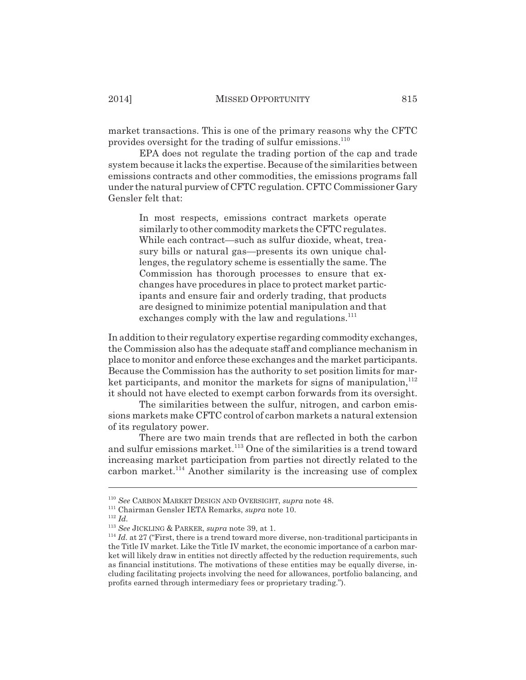market transactions. This is one of the primary reasons why the CFTC provides oversight for the trading of sulfur emissions.<sup>110</sup>

EPA does not regulate the trading portion of the cap and trade system because it lacks the expertise. Because of the similarities between emissions contracts and other commodities, the emissions programs fall under the natural purview of CFTC regulation. CFTC Commissioner Gary Gensler felt that:

In most respects, emissions contract markets operate similarly to other commodity markets the CFTC regulates. While each contract—such as sulfur dioxide, wheat, treasury bills or natural gas—presents its own unique challenges, the regulatory scheme is essentially the same. The Commission has thorough processes to ensure that exchanges have procedures in place to protect market participants and ensure fair and orderly trading, that products are designed to minimize potential manipulation and that exchanges comply with the law and regulations. $111$ 

In addition to their regulatory expertise regarding commodity exchanges, the Commission also has the adequate staff and compliance mechanism in place to monitor and enforce these exchanges and the market participants. Because the Commission has the authority to set position limits for market participants, and monitor the markets for signs of manipulation, $112$ it should not have elected to exempt carbon forwards from its oversight.

The similarities between the sulfur, nitrogen, and carbon emissions markets make CFTC control of carbon markets a natural extension of its regulatory power.

There are two main trends that are reflected in both the carbon and sulfur emissions market.<sup>113</sup> One of the similarities is a trend toward increasing market participation from parties not directly related to the carbon market.<sup>114</sup> Another similarity is the increasing use of complex

<sup>110</sup> *See* CARBON MARKET DESIGN AND OVERSIGHT, *supra* note 48.

<sup>111</sup> Chairman Gensler IETA Remarks, *supra* note 10.

<sup>112</sup> *Id.*

<sup>113</sup> *See* JICKLING & PARKER, *supra* note 39, at 1.

<sup>&</sup>lt;sup>114</sup> *Id.* at 27 ("First, there is a trend toward more diverse, non-traditional participants in the Title IV market. Like the Title IV market, the economic importance of a carbon market will likely draw in entities not directly affected by the reduction requirements, such as financial institutions. The motivations of these entities may be equally diverse, including facilitating projects involving the need for allowances, portfolio balancing, and profits earned through intermediary fees or proprietary trading.").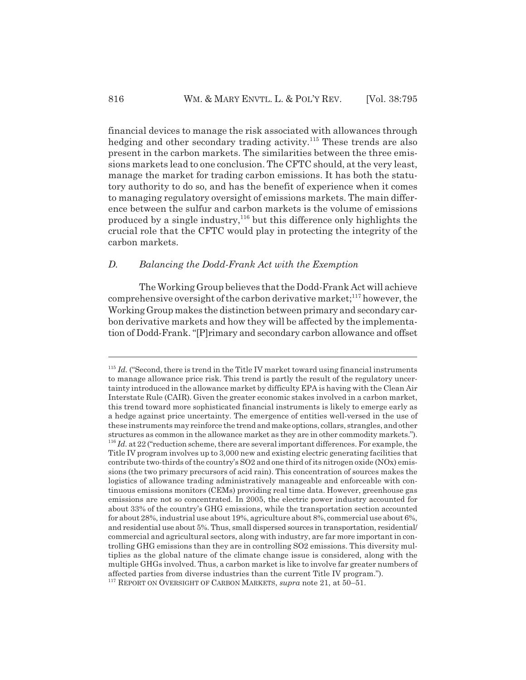financial devices to manage the risk associated with allowances through hedging and other secondary trading activity.<sup>115</sup> These trends are also present in the carbon markets. The similarities between the three emissions markets lead to one conclusion. The CFTC should, at the very least, manage the market for trading carbon emissions. It has both the statutory authority to do so, and has the benefit of experience when it comes to managing regulatory oversight of emissions markets. The main difference between the sulfur and carbon markets is the volume of emissions produced by a single industry,  $116$  but this difference only highlights the crucial role that the CFTC would play in protecting the integrity of the carbon markets.

# *D. Balancing the Dodd-Frank Act with the Exemption*

The Working Group believes that the Dodd-Frank Act will achieve comprehensive oversight of the carbon derivative market; $117$  however, the Working Group makes the distinction between primary and secondary carbon derivative markets and how they will be affected by the implementation of Dodd-Frank. "[P]rimary and secondary carbon allowance and offset

 $115$  *Id.* ("Second, there is trend in the Title IV market toward using financial instruments to manage allowance price risk. This trend is partly the result of the regulatory uncertainty introduced in the allowance market by difficulty EPA is having with the Clean Air Interstate Rule (CAIR). Given the greater economic stakes involved in a carbon market, this trend toward more sophisticated financial instruments is likely to emerge early as a hedge against price uncertainty. The emergence of entities well-versed in the use of these instruments may reinforce the trend and make options, collars, strangles, and other structures as common in the allowance market as they are in other commodity markets."). <sup>116</sup> *Id.* at 22 ("reduction scheme, there are several important differences. For example, the Title IV program involves up to 3,000 new and existing electric generating facilities that contribute two-thirds of the country's SO2 and one third of its nitrogen oxide (NOx) emissions (the two primary precursors of acid rain). This concentration of sources makes the logistics of allowance trading administratively manageable and enforceable with continuous emissions monitors (CEMs) providing real time data. However, greenhouse gas emissions are not so concentrated. In 2005, the electric power industry accounted for about 33% of the country's GHG emissions, while the transportation section accounted for about 28%, industrial use about 19%, agriculture about 8%, commercial use about 6%, and residential use about 5%. Thus, small dispersed sources in transportation, residential/ commercial and agricultural sectors, along with industry, are far more important in controlling GHG emissions than they are in controlling SO2 emissions. This diversity multiplies as the global nature of the climate change issue is considered, along with the multiple GHGs involved. Thus, a carbon market is like to involve far greater numbers of affected parties from diverse industries than the current Title IV program.").

<sup>117</sup> REPORT ON OVERSIGHT OF CARBON MARKETS, *supra* note 21, at 50–51.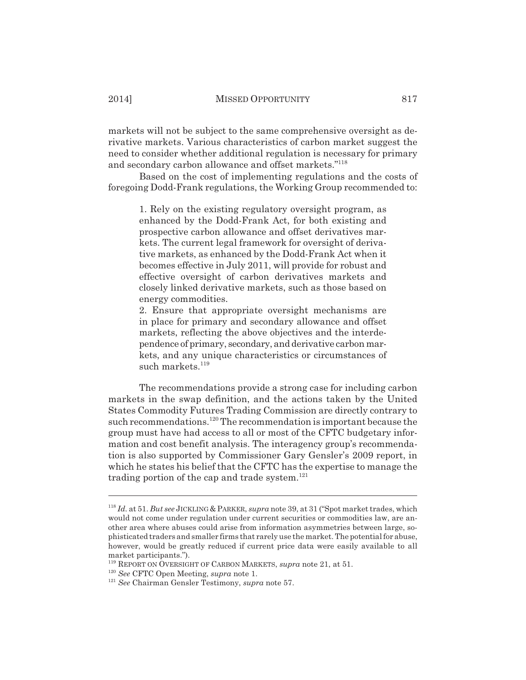markets will not be subject to the same comprehensive oversight as derivative markets. Various characteristics of carbon market suggest the need to consider whether additional regulation is necessary for primary and secondary carbon allowance and offset markets."118

Based on the cost of implementing regulations and the costs of foregoing Dodd-Frank regulations, the Working Group recommended to:

1. Rely on the existing regulatory oversight program, as enhanced by the Dodd-Frank Act, for both existing and prospective carbon allowance and offset derivatives markets. The current legal framework for oversight of derivative markets, as enhanced by the Dodd-Frank Act when it becomes effective in July 2011, will provide for robust and effective oversight of carbon derivatives markets and closely linked derivative markets, such as those based on energy commodities.

2. Ensure that appropriate oversight mechanisms are in place for primary and secondary allowance and offset markets, reflecting the above objectives and the interdependence of primary, secondary, and derivative carbon markets, and any unique characteristics or circumstances of such markets. $119$ 

The recommendations provide a strong case for including carbon markets in the swap definition, and the actions taken by the United States Commodity Futures Trading Commission are directly contrary to such recommendations.<sup>120</sup> The recommendation is important because the group must have had access to all or most of the CFTC budgetary information and cost benefit analysis. The interagency group's recommendation is also supported by Commissioner Gary Gensler's 2009 report, in which he states his belief that the CFTC has the expertise to manage the trading portion of the cap and trade system. $121$ 

<sup>118</sup> *Id.* at 51. *But see* JICKLING & PARKER, *supra* note 39, at 31 ("Spot market trades, which would not come under regulation under current securities or commodities law, are another area where abuses could arise from information asymmetries between large, sophisticated traders and smaller firms that rarely use the market. The potential for abuse, however, would be greatly reduced if current price data were easily available to all market participants.").

<sup>119</sup> REPORT ON OVERSIGHT OF CARBON MARKETS, *supra* note 21, at 51.

<sup>120</sup> *See* CFTC Open Meeting, *supra* note 1.

<sup>121</sup> *See* Chairman Gensler Testimony, *supra* note 57.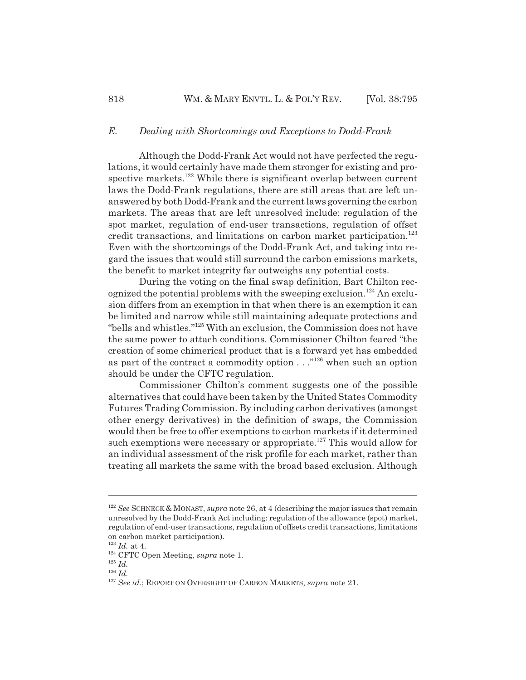## *E. Dealing with Shortcomings and Exceptions to Dodd-Frank*

Although the Dodd-Frank Act would not have perfected the regulations, it would certainly have made them stronger for existing and prospective markets.<sup>122</sup> While there is significant overlap between current laws the Dodd-Frank regulations, there are still areas that are left unanswered by both Dodd-Frank and the current laws governing the carbon markets. The areas that are left unresolved include: regulation of the spot market, regulation of end-user transactions, regulation of offset credit transactions, and limitations on carbon market participation.<sup>123</sup> Even with the shortcomings of the Dodd-Frank Act, and taking into regard the issues that would still surround the carbon emissions markets, the benefit to market integrity far outweighs any potential costs.

During the voting on the final swap definition, Bart Chilton recognized the potential problems with the sweeping exclusion.<sup>124</sup> An exclusion differs from an exemption in that when there is an exemption it can be limited and narrow while still maintaining adequate protections and "bells and whistles."125 With an exclusion, the Commission does not have the same power to attach conditions. Commissioner Chilton feared "the creation of some chimerical product that is a forward yet has embedded as part of the contract a commodity option  $\ldots$ <sup>"126</sup> when such an option should be under the CFTC regulation.

Commissioner Chilton's comment suggests one of the possible alternatives that could have been taken by the United States Commodity Futures Trading Commission. By including carbon derivatives (amongst other energy derivatives) in the definition of swaps, the Commission would then be free to offer exemptions to carbon markets if it determined such exemptions were necessary or appropriate.<sup>127</sup> This would allow for an individual assessment of the risk profile for each market, rather than treating all markets the same with the broad based exclusion. Although

<sup>122</sup> *See* SCHNECK & MONAST, *supra* note 26, at 4 (describing the major issues that remain unresolved by the Dodd-Frank Act including: regulation of the allowance (spot) market, regulation of end-user transactions, regulation of offsets credit transactions, limitations on carbon market participation).

 $^{123}$   $\emph{Id.}$  at 4.

<sup>124</sup> CFTC Open Meeting, *supra* note 1.

<sup>125</sup> *Id.*

<sup>126</sup> *Id.*

<sup>127</sup> *See id.*; REPORT ON OVERSIGHT OF CARBON MARKETS, *supra* note 21.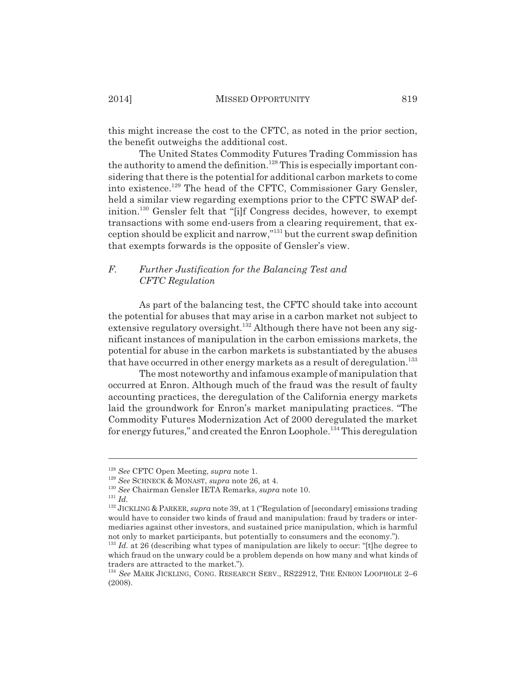this might increase the cost to the CFTC, as noted in the prior section, the benefit outweighs the additional cost.

The United States Commodity Futures Trading Commission has the authority to amend the definition.<sup>128</sup> This is especially important considering that there is the potential for additional carbon markets to come into existence.129 The head of the CFTC, Commissioner Gary Gensler, held a similar view regarding exemptions prior to the CFTC SWAP definition.130 Gensler felt that "[i]f Congress decides, however, to exempt transactions with some end-users from a clearing requirement, that exception should be explicit and narrow,"131 but the current swap definition that exempts forwards is the opposite of Gensler's view.

# *F. Further Justification for the Balancing Test and CFTC Regulation*

As part of the balancing test, the CFTC should take into account the potential for abuses that may arise in a carbon market not subject to extensive regulatory oversight.<sup>132</sup> Although there have not been any significant instances of manipulation in the carbon emissions markets, the potential for abuse in the carbon markets is substantiated by the abuses that have occurred in other energy markets as a result of deregulation.<sup>133</sup>

The most noteworthy and infamous example of manipulation that occurred at Enron. Although much of the fraud was the result of faulty accounting practices, the deregulation of the California energy markets laid the groundwork for Enron's market manipulating practices. "The Commodity Futures Modernization Act of 2000 deregulated the market for energy futures," and created the Enron Loophole.134 This deregulation

<sup>131</sup> *Id.*

<sup>128</sup> *See* CFTC Open Meeting, *supra* note 1.

<sup>129</sup> *See* SCHNECK & MONAST, *supra* note 26, at 4.

<sup>130</sup> *See* Chairman Gensler IETA Remarks, *supra* note 10.

<sup>132</sup> JICKLING & PARKER, *supra* note 39, at 1 ("Regulation of [secondary] emissions trading would have to consider two kinds of fraud and manipulation: fraud by traders or intermediaries against other investors, and sustained price manipulation, which is harmful not only to market participants, but potentially to consumers and the economy.").

<sup>&</sup>lt;sup>133</sup> *Id.* at 26 (describing what types of manipulation are likely to occur: "[t]he degree to which fraud on the unwary could be a problem depends on how many and what kinds of traders are attracted to the market.").

<sup>&</sup>lt;sup>134</sup> See MARK JICKLING, CONG. RESEARCH SERV., RS22912, THE ENRON LOOPHOLE 2-6 (2008).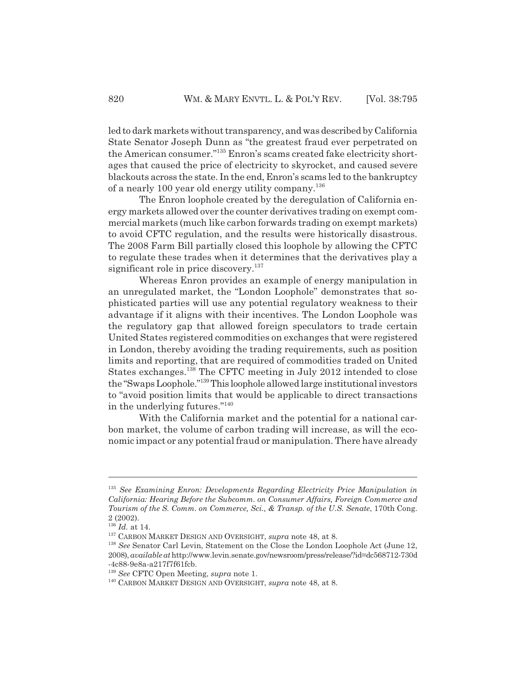led to dark markets without transparency, and was described by California State Senator Joseph Dunn as "the greatest fraud ever perpetrated on the American consumer."135 Enron's scams created fake electricity shortages that caused the price of electricity to skyrocket, and caused severe blackouts across the state. In the end, Enron's scams led to the bankruptcy of a nearly 100 year old energy utility company.<sup>136</sup>

The Enron loophole created by the deregulation of California energy markets allowed over the counter derivatives trading on exempt commercial markets (much like carbon forwards trading on exempt markets) to avoid CFTC regulation, and the results were historically disastrous. The 2008 Farm Bill partially closed this loophole by allowing the CFTC to regulate these trades when it determines that the derivatives play a significant role in price discovery.<sup>137</sup>

Whereas Enron provides an example of energy manipulation in an unregulated market, the "London Loophole" demonstrates that sophisticated parties will use any potential regulatory weakness to their advantage if it aligns with their incentives. The London Loophole was the regulatory gap that allowed foreign speculators to trade certain United States registered commodities on exchanges that were registered in London, thereby avoiding the trading requirements, such as position limits and reporting, that are required of commodities traded on United States exchanges.<sup>138</sup> The CFTC meeting in July 2012 intended to close the "Swaps Loophole."139 This loophole allowed large institutional investors to "avoid position limits that would be applicable to direct transactions in the underlying futures."140

With the California market and the potential for a national carbon market, the volume of carbon trading will increase, as will the economic impact or any potential fraud or manipulation. There have already

<sup>135</sup> *See Examining Enron: Developments Regarding Electricity Price Manipulation in California: Hearing Before the Subcomm. on Consumer Affairs, Foreign Commerce and Tourism of the S. Comm. on Commerce, Sci., & Transp. of the U.S. Senate*, 170th Cong. 2 (2002).

<sup>136</sup> *Id.* at 14.

<sup>137</sup> CARBON MARKET DESIGN AND OVERSIGHT, *supra* note 48, at 8.

<sup>&</sup>lt;sup>138</sup> See Senator Carl Levin, Statement on the Close the London Loophole Act (June 12, 2008), *available at* http://www.levin.senate.gov/newsroom/press/release/?id=dc568712-730d -4c88-9e8a-a217f7f61fcb.

<sup>139</sup> *See* CFTC Open Meeting, *supra* note 1.

<sup>140</sup> CARBON MARKET DESIGN AND OVERSIGHT, *supra* note 48, at 8.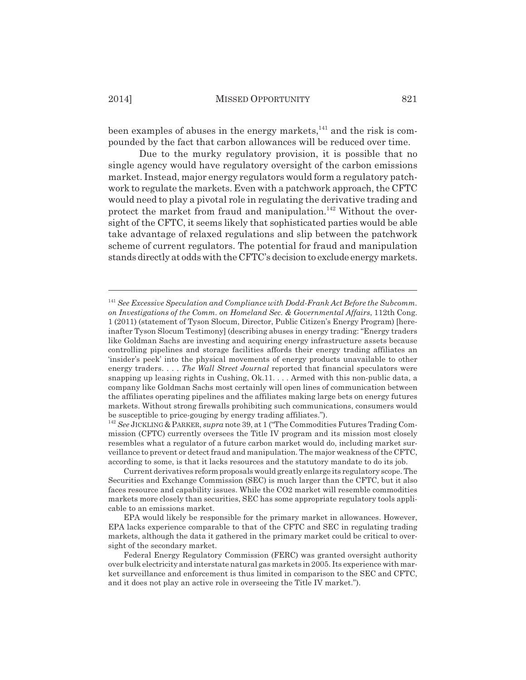been examples of abuses in the energy markets, $^{141}$  and the risk is compounded by the fact that carbon allowances will be reduced over time.

Due to the murky regulatory provision, it is possible that no single agency would have regulatory oversight of the carbon emissions market. Instead, major energy regulators would form a regulatory patchwork to regulate the markets. Even with a patchwork approach, the CFTC would need to play a pivotal role in regulating the derivative trading and protect the market from fraud and manipulation.<sup>142</sup> Without the oversight of the CFTC, it seems likely that sophisticated parties would be able take advantage of relaxed regulations and slip between the patchwork scheme of current regulators. The potential for fraud and manipulation stands directly at odds with the CFTC's decision to exclude energy markets.

<sup>142</sup> See JICKLING & PARKER, *supra* note 39, at 1 ("The Commodities Futures Trading Commission (CFTC) currently oversees the Title IV program and its mission most closely resembles what a regulator of a future carbon market would do, including market surveillance to prevent or detect fraud and manipulation. The major weakness of the CFTC, according to some, is that it lacks resources and the statutory mandate to do its job.

Current derivatives reform proposals would greatly enlarge its regulatory scope. The Securities and Exchange Commission (SEC) is much larger than the CFTC, but it also faces resource and capability issues. While the CO2 market will resemble commodities markets more closely than securities, SEC has some appropriate regulatory tools applicable to an emissions market.

EPA would likely be responsible for the primary market in allowances. However, EPA lacks experience comparable to that of the CFTC and SEC in regulating trading markets, although the data it gathered in the primary market could be critical to oversight of the secondary market.

Federal Energy Regulatory Commission (FERC) was granted oversight authority over bulk electricity and interstate natural gas markets in 2005. Its experience with market surveillance and enforcement is thus limited in comparison to the SEC and CFTC, and it does not play an active role in overseeing the Title IV market.").

<sup>141</sup> *See Excessive Speculation and Compliance with Dodd-Frank Act Before the Subcomm. on Investigations of the Comm. on Homeland Sec. & Governmental Affairs*, 112th Cong. 1 (2011) (statement of Tyson Slocum, Director, Public Citizen's Energy Program) [hereinafter Tyson Slocum Testimony] (describing abuses in energy trading: "Energy traders like Goldman Sachs are investing and acquiring energy infrastructure assets because controlling pipelines and storage facilities affords their energy trading affiliates an 'insider's peek' into the physical movements of energy products unavailable to other energy traders. . . . *The Wall Street Journal* reported that financial speculators were snapping up leasing rights in Cushing, Ok.11. . . . Armed with this non-public data, a company like Goldman Sachs most certainly will open lines of communication between the affiliates operating pipelines and the affiliates making large bets on energy futures markets. Without strong firewalls prohibiting such communications, consumers would be susceptible to price-gouging by energy trading affiliates.").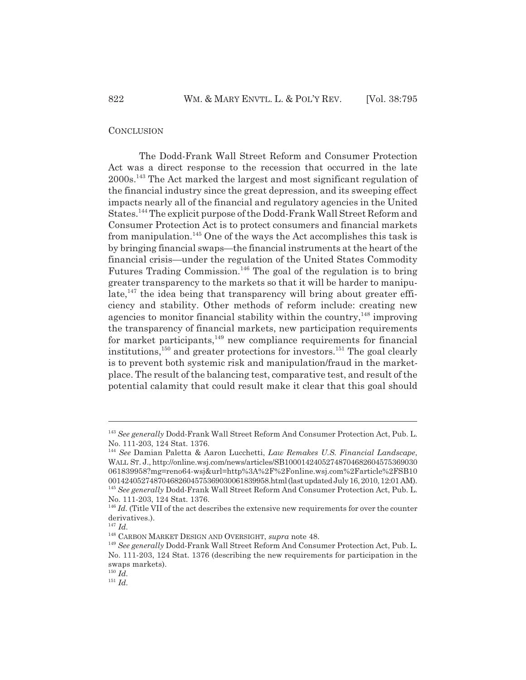#### **CONCLUSION**

The Dodd-Frank Wall Street Reform and Consumer Protection Act was a direct response to the recession that occurred in the late 2000s.143 The Act marked the largest and most significant regulation of the financial industry since the great depression, and its sweeping effect impacts nearly all of the financial and regulatory agencies in the United States.144 The explicit purpose of the Dodd-Frank Wall Street Reform and Consumer Protection Act is to protect consumers and financial markets from manipulation.<sup>145</sup> One of the ways the Act accomplishes this task is by bringing financial swaps—the financial instruments at the heart of the financial crisis—under the regulation of the United States Commodity Futures Trading Commission.<sup>146</sup> The goal of the regulation is to bring greater transparency to the markets so that it will be harder to manipulate, $147$  the idea being that transparency will bring about greater efficiency and stability. Other methods of reform include: creating new agencies to monitor financial stability within the country,  $148$  improving the transparency of financial markets, new participation requirements for market participants,<sup>149</sup> new compliance requirements for financial institutions,<sup>150</sup> and greater protections for investors.<sup>151</sup> The goal clearly is to prevent both systemic risk and manipulation/fraud in the marketplace. The result of the balancing test, comparative test, and result of the potential calamity that could result make it clear that this goal should

<sup>143</sup> *See generally* Dodd-Frank Wall Street Reform And Consumer Protection Act, Pub. L. No. 111-203, 124 Stat. 1376.

<sup>144</sup> *See* Damian Paletta & Aaron Lucchetti, *Law Remakes U.S. Financial Landscape*, WALL ST. J., http://online.wsj.com/news/articles/SB10001424052748704682604575369030 061839958?mg=reno64-wsj&url=http%3A%2F%2Fonline.wsj.com%2Farticle%2FSB10 001424052748704682604575369030061839958.html (last updated July 16, 2010, 12:01 AM). <sup>145</sup> *See generally* Dodd-Frank Wall Street Reform And Consumer Protection Act, Pub. L. No. 111-203, 124 Stat. 1376.

<sup>&</sup>lt;sup>146</sup> *Id.* (Title VII of the act describes the extensive new requirements for over the counter derivatives.).

<sup>147</sup> *Id.*

<sup>148</sup> CARBON MARKET DESIGN AND OVERSIGHT, *supra* note 48.

<sup>149</sup> *See generally* Dodd-Frank Wall Street Reform And Consumer Protection Act, Pub. L. No. 111-203, 124 Stat. 1376 (describing the new requirements for participation in the swaps markets).

<sup>150</sup> *Id.*

<sup>151</sup> *Id.*